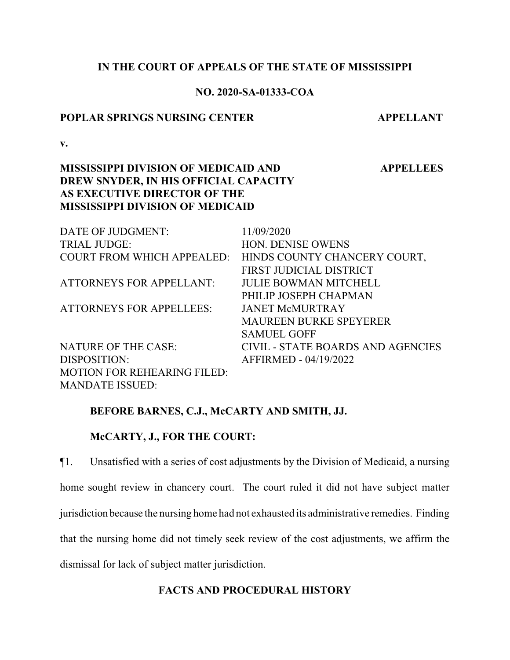## **IN THE COURT OF APPEALS OF THE STATE OF MISSISSIPPI**

# **NO. 2020-SA-01333-COA**

## **POPLAR SPRINGS NURSING CENTER APPELLANT**

 **APPELLEES**

**v.**

# **MISSISSIPPI DIVISION OF MEDICAID AND DREW SNYDER, IN HIS OFFICIAL CAPACITY AS EXECUTIVE DIRECTOR OF THE MISSISSIPPI DIVISION OF MEDICAID**

| DATE OF JUDGMENT:                  | 11/09/2020                                              |
|------------------------------------|---------------------------------------------------------|
| <b>TRIAL JUDGE:</b>                | <b>HON. DENISE OWENS</b>                                |
|                                    | COURT FROM WHICH APPEALED: HINDS COUNTY CHANCERY COURT, |
|                                    | FIRST JUDICIAL DISTRICT                                 |
| <b>ATTORNEYS FOR APPELLANT:</b>    | <b>JULIE BOWMAN MITCHELL</b>                            |
|                                    | PHILIP JOSEPH CHAPMAN                                   |
| <b>ATTORNEYS FOR APPELLEES:</b>    | <b>JANET McMURTRAY</b>                                  |
|                                    | <b>MAUREEN BURKE SPEYERER</b>                           |
|                                    | <b>SAMUEL GOFF</b>                                      |
| <b>NATURE OF THE CASE:</b>         | <b>CIVIL - STATE BOARDS AND AGENCIES</b>                |
| DISPOSITION:                       | AFFIRMED - 04/19/2022                                   |
| <b>MOTION FOR REHEARING FILED:</b> |                                                         |
| <b>MANDATE ISSUED:</b>             |                                                         |

# **BEFORE BARNES, C.J., McCARTY AND SMITH, JJ.**

## **McCARTY, J., FOR THE COURT:**

¶1. Unsatisfied with a series of cost adjustments by the Division of Medicaid, a nursing home sought review in chancery court. The court ruled it did not have subject matter jurisdiction because the nursing home had not exhausted its administrative remedies. Finding that the nursing home did not timely seek review of the cost adjustments, we affirm the dismissal for lack of subject matter jurisdiction.

## **FACTS AND PROCEDURAL HISTORY**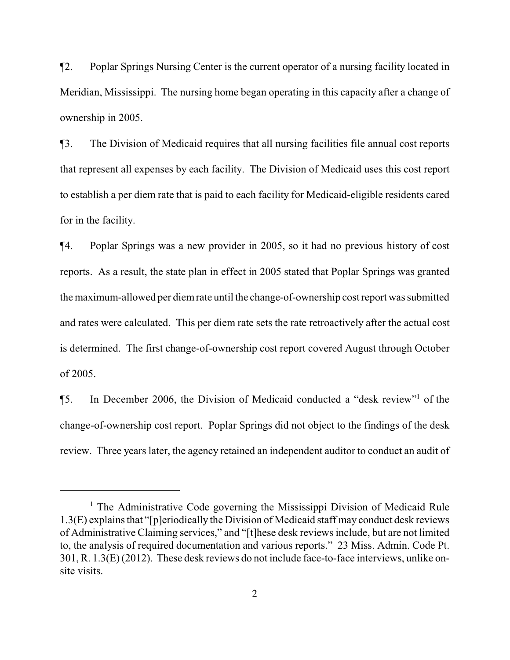¶2. Poplar Springs Nursing Center is the current operator of a nursing facility located in Meridian, Mississippi. The nursing home began operating in this capacity after a change of ownership in 2005.

¶3. The Division of Medicaid requires that all nursing facilities file annual cost reports that represent all expenses by each facility. The Division of Medicaid uses this cost report to establish a per diem rate that is paid to each facility for Medicaid-eligible residents cared for in the facility.

¶4. Poplar Springs was a new provider in 2005, so it had no previous history of cost reports. As a result, the state plan in effect in 2005 stated that Poplar Springs was granted the maximum-allowed per diemrate until the change-of-ownership cost report was submitted and rates were calculated. This per diem rate sets the rate retroactively after the actual cost is determined. The first change-of-ownership cost report covered August through October of 2005.

¶5. In December 2006, the Division of Medicaid conducted a "desk review"<sup>1</sup> of the change-of-ownership cost report. Poplar Springs did not object to the findings of the desk review. Three years later, the agency retained an independent auditor to conduct an audit of

<sup>&</sup>lt;sup>1</sup> The Administrative Code governing the Mississippi Division of Medicaid Rule 1.3(E) explains that "[p]eriodically the Division of Medicaid staff may conduct desk reviews of Administrative Claiming services," and "[t]hese desk reviews include, but are not limited to, the analysis of required documentation and various reports." 23 Miss. Admin. Code Pt. 301, R. 1.3(E) (2012). These desk reviews do not include face-to-face interviews, unlike onsite visits.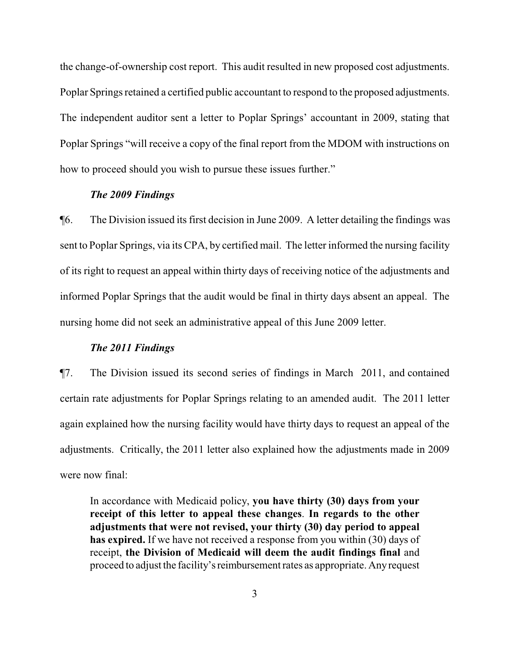the change-of-ownership cost report. This audit resulted in new proposed cost adjustments. Poplar Springs retained a certified public accountant to respond to the proposed adjustments. The independent auditor sent a letter to Poplar Springs' accountant in 2009, stating that Poplar Springs "will receive a copy of the final report from the MDOM with instructions on how to proceed should you wish to pursue these issues further."

## *The 2009 Findings*

¶6. The Division issued its first decision in June 2009. A letter detailing the findings was sent to Poplar Springs, via its CPA, by certified mail. The letter informed the nursing facility of its right to request an appeal within thirty days of receiving notice of the adjustments and informed Poplar Springs that the audit would be final in thirty days absent an appeal. The nursing home did not seek an administrative appeal of this June 2009 letter.

## *The 2011 Findings*

¶7. The Division issued its second series of findings in March 2011, and contained certain rate adjustments for Poplar Springs relating to an amended audit. The 2011 letter again explained how the nursing facility would have thirty days to request an appeal of the adjustments. Critically, the 2011 letter also explained how the adjustments made in 2009 were now final:

In accordance with Medicaid policy, **you have thirty (30) days from your receipt of this letter to appeal these changes**. **In regards to the other adjustments that were not revised, your thirty (30) day period to appeal has expired.** If we have not received a response from you within (30) days of receipt, **the Division of Medicaid will deem the audit findings final** and proceed to adjust the facility'sreimbursement rates as appropriate. Anyrequest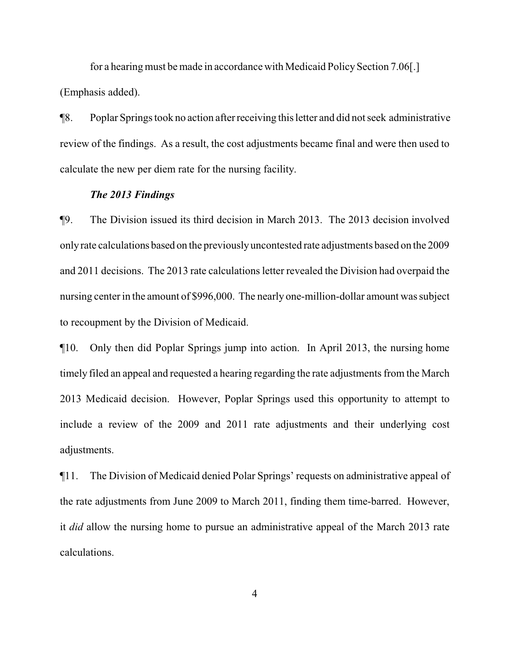for a hearing must be made in accordance with Medicaid Policy Section 7.06. (Emphasis added).

¶8. Poplar Springs took no action afterreceiving this letter and did not seek administrative review of the findings. As a result, the cost adjustments became final and were then used to calculate the new per diem rate for the nursing facility.

## *The 2013 Findings*

¶9. The Division issued its third decision in March 2013. The 2013 decision involved onlyrate calculations based on the previouslyuncontested rate adjustments based on the 2009 and 2011 decisions. The 2013 rate calculations letter revealed the Division had overpaid the nursing center in the amount of \$996,000. The nearly one-million-dollar amount was subject to recoupment by the Division of Medicaid.

¶10. Only then did Poplar Springs jump into action. In April 2013, the nursing home timely filed an appeal and requested a hearing regarding the rate adjustments from the March 2013 Medicaid decision. However, Poplar Springs used this opportunity to attempt to include a review of the 2009 and 2011 rate adjustments and their underlying cost adjustments.

¶11. The Division of Medicaid denied Polar Springs' requests on administrative appeal of the rate adjustments from June 2009 to March 2011, finding them time-barred. However, it *did* allow the nursing home to pursue an administrative appeal of the March 2013 rate calculations.

4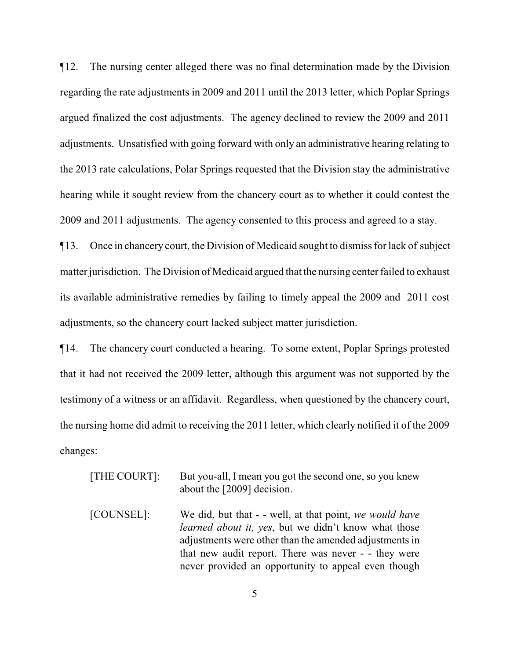¶12. The nursing center alleged there was no final determination made by the Division regarding the rate adjustments in 2009 and 2011 until the 2013 letter, which Poplar Springs argued finalized the cost adjustments. The agency declined to review the 2009 and 2011 adjustments. Unsatisfied with going forward with only an administrative hearing relating to the 2013 rate calculations, Polar Springs requested that the Division stay the administrative hearing while it sought review from the chancery court as to whether it could contest the 2009 and 2011 adjustments. The agency consented to this process and agreed to a stay.

¶13. Once in chancery court, the Division of Medicaid sought to dismiss for lack of subject matter jurisdiction. The Division of Medicaid argued that the nursing center failed to exhaust its available administrative remedies by failing to timely appeal the 2009 and 2011 cost adjustments, so the chancery court lacked subject matter jurisdiction.

¶14. The chancery court conducted a hearing. To some extent, Poplar Springs protested that it had not received the 2009 letter, although this argument was not supported by the testimony of a witness or an affidavit. Regardless, when questioned by the chancery court, the nursing home did admit to receiving the 2011 letter, which clearly notified it of the 2009 changes:

| [THE COURT]: | But you-all, I mean you got the second one, so you knew<br>about the [2009] decision.                                                                                                                                                                                                           |
|--------------|-------------------------------------------------------------------------------------------------------------------------------------------------------------------------------------------------------------------------------------------------------------------------------------------------|
| [COUNSEL]:   | We did, but that - - well, at that point, we would have<br><i>learned about it, yes, but we didn't know what those</i><br>adjustments were other than the amended adjustments in<br>that new audit report. There was never - - they were<br>never provided an opportunity to appeal even though |

5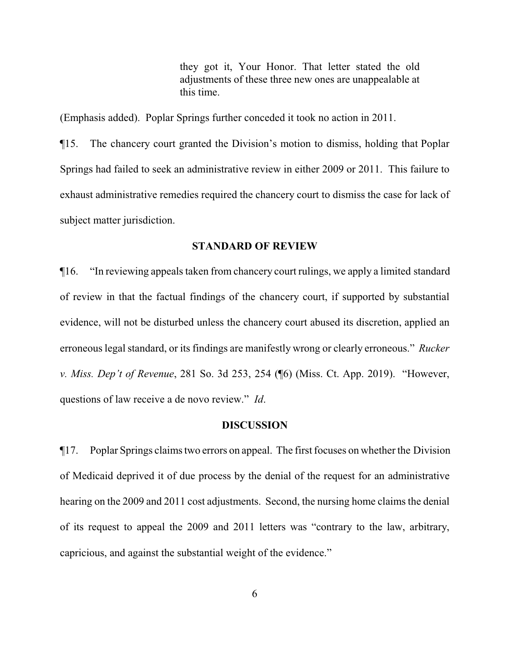they got it, Your Honor. That letter stated the old adjustments of these three new ones are unappealable at this time.

(Emphasis added). Poplar Springs further conceded it took no action in 2011.

¶15. The chancery court granted the Division's motion to dismiss, holding that Poplar Springs had failed to seek an administrative review in either 2009 or 2011. This failure to exhaust administrative remedies required the chancery court to dismiss the case for lack of subject matter jurisdiction.

#### **STANDARD OF REVIEW**

¶16. "In reviewing appeals taken from chancery court rulings, we apply a limited standard of review in that the factual findings of the chancery court, if supported by substantial evidence, will not be disturbed unless the chancery court abused its discretion, applied an erroneous legal standard, or its findings are manifestly wrong or clearly erroneous." *Rucker v. Miss. Dep't of Revenue*, 281 So. 3d 253, 254 (¶6) (Miss. Ct. App. 2019). "However, questions of law receive a de novo review." *Id*.

#### **DISCUSSION**

¶17. Poplar Springs claims two errors on appeal. The first focuses on whether the Division of Medicaid deprived it of due process by the denial of the request for an administrative hearing on the 2009 and 2011 cost adjustments. Second, the nursing home claims the denial of its request to appeal the 2009 and 2011 letters was "contrary to the law, arbitrary, capricious, and against the substantial weight of the evidence."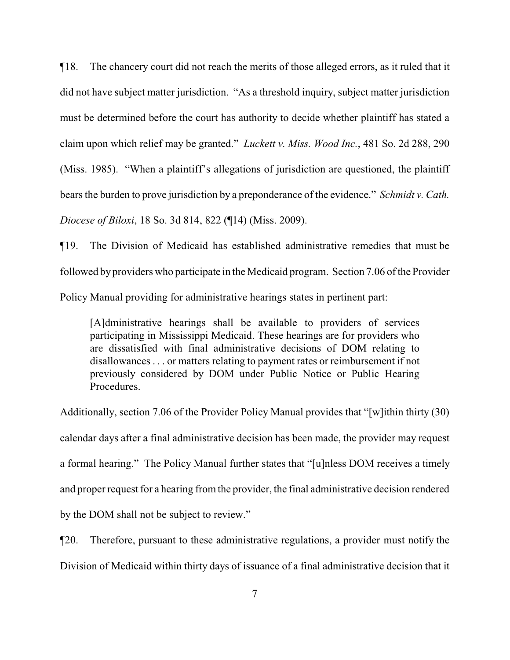¶18. The chancery court did not reach the merits of those alleged errors, as it ruled that it did not have subject matter jurisdiction. "As a threshold inquiry, subject matter jurisdiction must be determined before the court has authority to decide whether plaintiff has stated a claim upon which relief may be granted." *Luckett v. Miss. Wood Inc.*, 481 So. 2d 288, 290 (Miss. 1985). "When a plaintiff's allegations of jurisdiction are questioned, the plaintiff bears the burden to prove jurisdiction by a preponderance of the evidence." *Schmidt v. Cath. Diocese of Biloxi*, 18 So. 3d 814, 822 (¶14) (Miss. 2009).

¶19. The Division of Medicaid has established administrative remedies that must be followed by providers who participate in the Medicaid program. Section 7.06 of the Provider Policy Manual providing for administrative hearings states in pertinent part:

[A]dministrative hearings shall be available to providers of services participating in Mississippi Medicaid. These hearings are for providers who are dissatisfied with final administrative decisions of DOM relating to disallowances . . . or matters relating to payment rates or reimbursement if not previously considered by DOM under Public Notice or Public Hearing Procedures.

Additionally, section 7.06 of the Provider Policy Manual provides that "[w]ithin thirty (30) calendar days after a final administrative decision has been made, the provider may request a formal hearing." The Policy Manual further states that "[u]nless DOM receives a timely and proper request for a hearing from the provider, the final administrative decision rendered by the DOM shall not be subject to review."

¶20. Therefore, pursuant to these administrative regulations, a provider must notify the Division of Medicaid within thirty days of issuance of a final administrative decision that it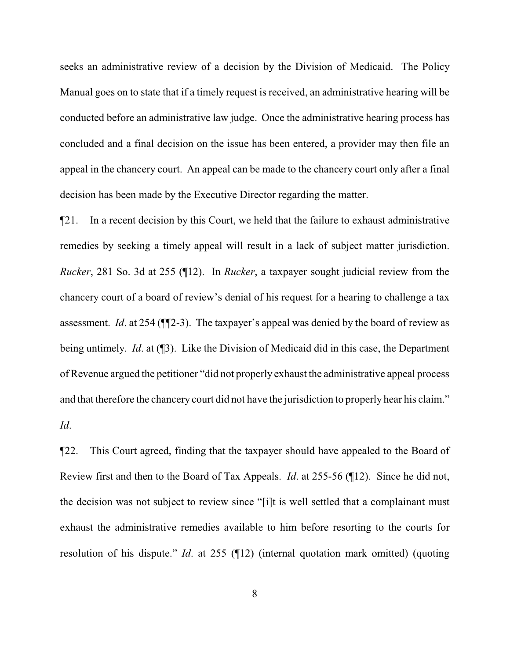seeks an administrative review of a decision by the Division of Medicaid. The Policy Manual goes on to state that if a timely request is received, an administrative hearing will be conducted before an administrative law judge. Once the administrative hearing process has concluded and a final decision on the issue has been entered, a provider may then file an appeal in the chancery court. An appeal can be made to the chancery court only after a final decision has been made by the Executive Director regarding the matter.

¶21. In a recent decision by this Court, we held that the failure to exhaust administrative remedies by seeking a timely appeal will result in a lack of subject matter jurisdiction. *Rucker*, 281 So. 3d at 255 (¶12). In *Rucker*, a taxpayer sought judicial review from the chancery court of a board of review's denial of his request for a hearing to challenge a tax assessment. *Id*. at 254 (¶¶2-3). The taxpayer's appeal was denied by the board of review as being untimely. *Id*. at (¶3). Like the Division of Medicaid did in this case, the Department of Revenue argued the petitioner "did not properly exhaust the administrative appeal process and that therefore the chancery court did not have the jurisdiction to properly hear his claim." *Id*.

¶22. This Court agreed, finding that the taxpayer should have appealed to the Board of Review first and then to the Board of Tax Appeals. *Id*. at 255-56 (¶12). Since he did not, the decision was not subject to review since "[i]t is well settled that a complainant must exhaust the administrative remedies available to him before resorting to the courts for resolution of his dispute." *Id*. at 255 (¶12) (internal quotation mark omitted) (quoting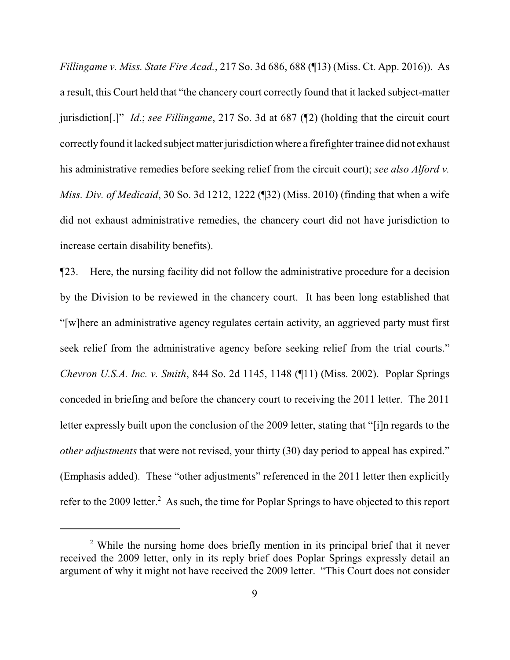*Fillingame v. Miss. State Fire Acad.*, 217 So. 3d 686, 688 (¶13) (Miss. Ct. App. 2016)). As a result, this Court held that "the chancery court correctly found that it lacked subject-matter jurisdiction[.]" *Id*.; *see Fillingame*, 217 So. 3d at 687 (¶2) (holding that the circuit court correctly found it lacked subject matter jurisdiction where a firefighter trainee did not exhaust his administrative remedies before seeking relief from the circuit court); *see also Alford v. Miss. Div. of Medicaid*, 30 So. 3d 1212, 1222 (¶32) (Miss. 2010) (finding that when a wife did not exhaust administrative remedies, the chancery court did not have jurisdiction to increase certain disability benefits).

¶23. Here, the nursing facility did not follow the administrative procedure for a decision by the Division to be reviewed in the chancery court. It has been long established that "[w]here an administrative agency regulates certain activity, an aggrieved party must first seek relief from the administrative agency before seeking relief from the trial courts." *Chevron U.S.A. Inc. v. Smith*, 844 So. 2d 1145, 1148 (¶11) (Miss. 2002). Poplar Springs conceded in briefing and before the chancery court to receiving the 2011 letter. The 2011 letter expressly built upon the conclusion of the 2009 letter, stating that "[i]n regards to the *other adjustments* that were not revised, your thirty (30) day period to appeal has expired." (Emphasis added). These "other adjustments" referenced in the 2011 letter then explicitly refer to the 2009 letter.<sup>2</sup> As such, the time for Poplar Springs to have objected to this report

<sup>&</sup>lt;sup>2</sup> While the nursing home does briefly mention in its principal brief that it never received the 2009 letter, only in its reply brief does Poplar Springs expressly detail an argument of why it might not have received the 2009 letter. "This Court does not consider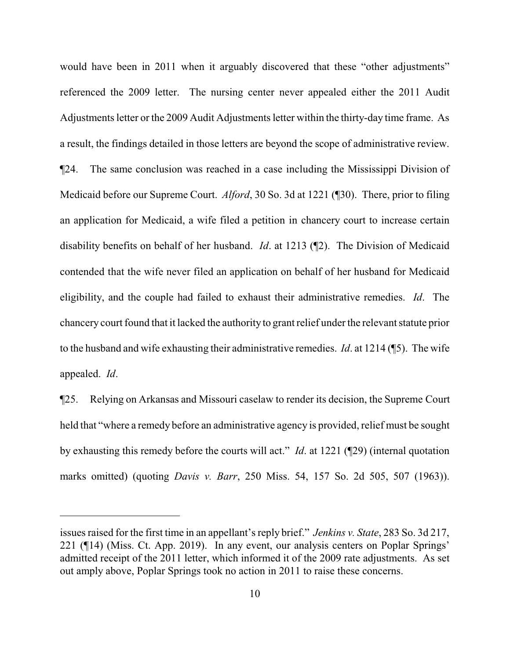would have been in 2011 when it arguably discovered that these "other adjustments" referenced the 2009 letter. The nursing center never appealed either the 2011 Audit Adjustments letter or the 2009 Audit Adjustments letter within the thirty-day time frame. As a result, the findings detailed in those letters are beyond the scope of administrative review. ¶24. The same conclusion was reached in a case including the Mississippi Division of Medicaid before our Supreme Court. *Alford*, 30 So. 3d at 1221 (¶30). There, prior to filing an application for Medicaid, a wife filed a petition in chancery court to increase certain disability benefits on behalf of her husband. *Id*. at 1213 (¶2). The Division of Medicaid contended that the wife never filed an application on behalf of her husband for Medicaid eligibility, and the couple had failed to exhaust their administrative remedies. *Id*. The chancery court found that it lacked the authority to grant relief under the relevant statute prior to the husband and wife exhausting their administrative remedies. *Id*. at 1214 (¶5). The wife appealed. *Id*.

¶25. Relying on Arkansas and Missouri caselaw to render its decision, the Supreme Court held that "where a remedy before an administrative agency is provided, relief must be sought by exhausting this remedy before the courts will act." *Id*. at 1221 (¶29) (internal quotation marks omitted) (quoting *Davis v. Barr*, 250 Miss. 54, 157 So. 2d 505, 507 (1963)).

issues raised for the first time in an appellant's reply brief." *Jenkins v. State*, 283 So. 3d 217, 221 (¶14) (Miss. Ct. App. 2019). In any event, our analysis centers on Poplar Springs' admitted receipt of the 2011 letter, which informed it of the 2009 rate adjustments. As set out amply above, Poplar Springs took no action in 2011 to raise these concerns.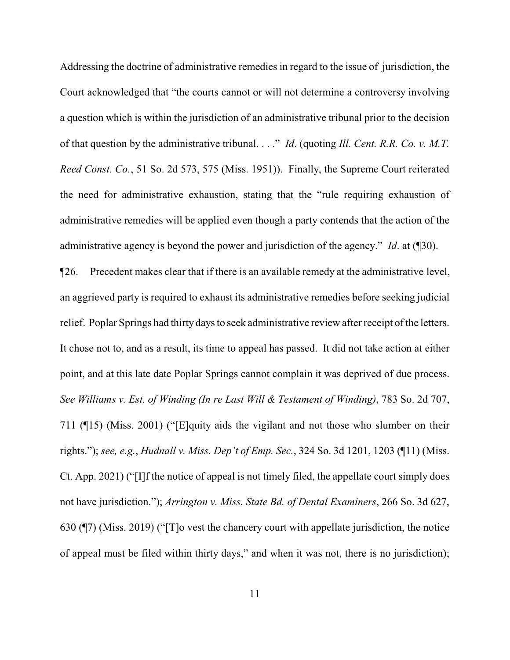Addressing the doctrine of administrative remedies in regard to the issue of jurisdiction, the Court acknowledged that "the courts cannot or will not determine a controversy involving a question which is within the jurisdiction of an administrative tribunal prior to the decision of that question by the administrative tribunal. . . ." *Id*. (quoting *Ill. Cent. R.R. Co. v. M.T. Reed Const. Co.*, 51 So. 2d 573, 575 (Miss. 1951)). Finally, the Supreme Court reiterated the need for administrative exhaustion, stating that the "rule requiring exhaustion of administrative remedies will be applied even though a party contends that the action of the administrative agency is beyond the power and jurisdiction of the agency." *Id*. at (¶30).

¶26. Precedent makes clear that if there is an available remedy at the administrative level, an aggrieved party is required to exhaust its administrative remedies before seeking judicial relief. Poplar Springs had thirty days to seek administrative review after receipt of the letters. It chose not to, and as a result, its time to appeal has passed. It did not take action at either point, and at this late date Poplar Springs cannot complain it was deprived of due process. *See Williams v. Est. of Winding (In re Last Will & Testament of Winding)*, 783 So. 2d 707, 711 (¶15) (Miss. 2001) ("[E]quity aids the vigilant and not those who slumber on their rights."); *see, e.g.*, *Hudnall v. Miss. Dep't of Emp. Sec.*, 324 So. 3d 1201, 1203 (¶11) (Miss. Ct. App. 2021) ("[I]f the notice of appeal is not timely filed, the appellate court simply does not have jurisdiction."); *Arrington v. Miss. State Bd. of Dental Examiners*, 266 So. 3d 627, 630 (¶7) (Miss. 2019) ("[T]o vest the chancery court with appellate jurisdiction, the notice of appeal must be filed within thirty days," and when it was not, there is no jurisdiction);